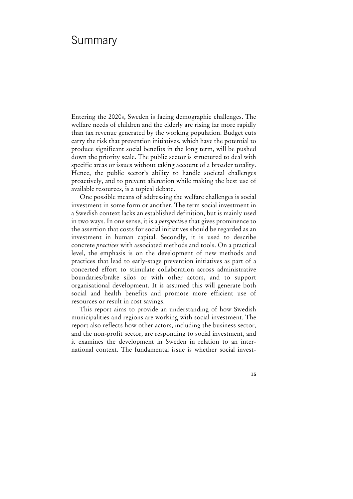# Summary

Entering the 2020s, Sweden is facing demographic challenges. The welfare needs of children and the elderly are rising far more rapidly than tax revenue generated by the working population. Budget cuts carry the risk that prevention initiatives, which have the potential to produce significant social benefits in the long term, will be pushed down the priority scale. The public sector is structured to deal with specific areas or issues without taking account of a broader totality. Hence, the public sector's ability to handle societal challenges proactively, and to prevent alienation while making the best use of available resources, is a topical debate.

One possible means of addressing the welfare challenges is social investment in some form or another. The term social investment in a Swedish context lacks an established definition, but is mainly used in two ways. In one sense, it is a *perspective* that gives prominence to the assertion that costs for social initiatives should be regarded as an investment in human capital. Secondly, it is used to describe concrete *practices* with associated methods and tools. On a practical level, the emphasis is on the development of new methods and practices that lead to early-stage prevention initiatives as part of a concerted effort to stimulate collaboration across administrative boundaries/brake silos or with other actors, and to support organisational development. It is assumed this will generate both social and health benefits and promote more efficient use of resources or result in cost savings.

This report aims to provide an understanding of how Swedish municipalities and regions are working with social investment. The report also reflects how other actors, including the business sector, and the non-profit sector, are responding to social investment, and it examines the development in Sweden in relation to an international context. The fundamental issue is whether social invest-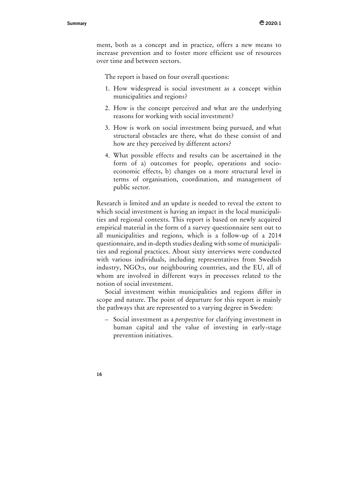ment, both as a concept and in practice, offers a new means to increase prevention and to foster more efficient use of resources over time and between sectors.

The report is based on four overall questions:

- 1. How widespread is social investment as a concept within municipalities and regions?
- 2. How is the concept perceived and what are the underlying reasons for working with social investment?
- 3. How is work on social investment being pursued, and what structural obstacles are there, what do these consist of and how are they perceived by different actors?
- 4. What possible effects and results can be ascertained in the form of a) outcomes for people, operations and socioeconomic effects, b) changes on a more structural level in terms of organisation, coordination, and management of public sector.

Research is limited and an update is needed to reveal the extent to which social investment is having an impact in the local municipalities and regional contexts. This report is based on newly acquired empirical material in the form of a survey questionnaire sent out to all municipalities and regions, which is a follow-up of a 2014 questionnaire, and in-depth studies dealing with some of municipalities and regional practices. About sixty interviews were conducted with various individuals, including representatives from Swedish industry, NGO:s, our neighbouring countries, and the EU, all of whom are involved in different ways in processes related to the notion of social investment.

Social investment within municipalities and regions differ in scope and nature. The point of departure for this report is mainly the pathways that are represented to a varying degree in Sweden:

– Social investment as a *perspective* for clarifying investment in human capital and the value of investing in early-stage prevention initiatives.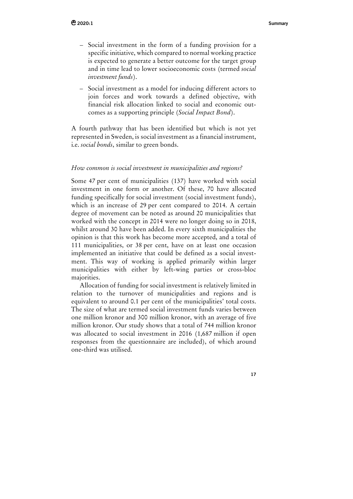- Social investment in the form of a funding provision for a specific initiative, which compared to normal working practice is expected to generate a better outcome for the target group and in time lead to lower socioeconomic costs (termed *social investment funds*).
- Social investment as a model for inducing different actors to join forces and work towards a defined objective, with financial risk allocation linked to social and economic outcomes as a supporting principle (*Social Impact Bond*).

A fourth pathway that has been identified but which is not yet represented in Sweden, is social investment as a financial instrument, i.e. *social bonds*, similar to green bonds.

## *How common is social investment in municipalities and regions?*

Some 47 per cent of municipalities (137) have worked with social investment in one form or another. Of these, 70 have allocated funding specifically for social investment (social investment funds), which is an increase of 29 per cent compared to 2014. A certain degree of movement can be noted as around 20 municipalities that worked with the concept in 2014 were no longer doing so in 2018, whilst around 30 have been added. In every sixth municipalities the opinion is that this work has become more accepted, and a total of 111 municipalities, or 38 per cent, have on at least one occasion implemented an initiative that could be defined as a social investment. This way of working is applied primarily within larger municipalities with either by left-wing parties or cross-bloc majorities.

Allocation of funding for social investment is relatively limited in relation to the turnover of municipalities and regions and is equivalent to around 0.1 per cent of the municipalities' total costs. The size of what are termed social investment funds varies between one million kronor and 300 million kronor, with an average of five million kronor. Our study shows that a total of 744 million kronor was allocated to social investment in 2016 (1,687 million if open responses from the questionnaire are included), of which around one-third was utilised.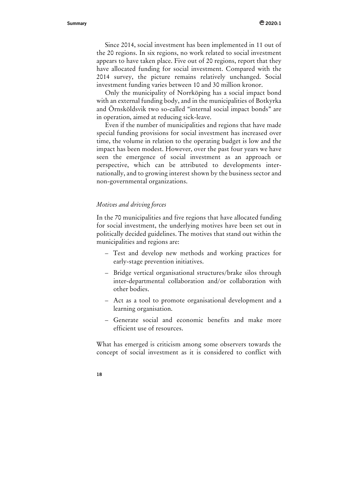Since 2014, social investment has been implemented in 11 out of the 20 regions. In six regions, no work related to social investment appears to have taken place. Five out of 20 regions, report that they have allocated funding for social investment. Compared with the 2014 survey, the picture remains relatively unchanged. Social investment funding varies between 10 and 30 million kronor.

Only the municipality of Norrköping has a social impact bond with an external funding body, and in the municipalities of Botkyrka and Örnsköldsvik two so-called "internal social impact bonds" are in operation, aimed at reducing sick-leave.

Even if the number of municipalities and regions that have made special funding provisions for social investment has increased over time, the volume in relation to the operating budget is low and the impact has been modest. However, over the past four years we have seen the emergence of social investment as an approach or perspective, which can be attributed to developments internationally, and to growing interest shown by the business sector and non-governmental organizations.

## *Motives and driving forces*

In the 70 municipalities and five regions that have allocated funding for social investment, the underlying motives have been set out in politically decided guidelines. The motives that stand out within the municipalities and regions are:

- Test and develop new methods and working practices for early-stage prevention initiatives.
- Bridge vertical organisational structures/brake silos through inter-departmental collaboration and/or collaboration with other bodies.
- Act as a tool to promote organisational development and a learning organisation.
- Generate social and economic benefits and make more efficient use of resources.

What has emerged is criticism among some observers towards the concept of social investment as it is considered to conflict with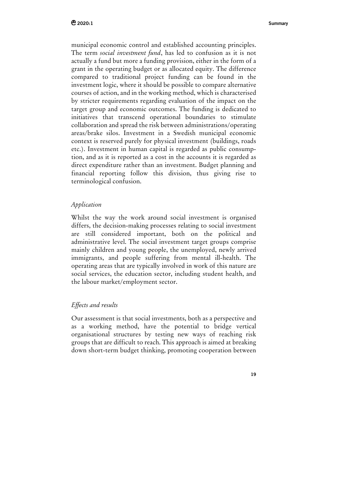municipal economic control and established accounting principles. The term *social investment fund*, has led to confusion as it is not actually a fund but more a funding provision, either in the form of a grant in the operating budget or as allocated equity. The difference compared to traditional project funding can be found in the investment logic, where it should be possible to compare alternative courses of action, and in the working method, which is characterised by stricter requirements regarding evaluation of the impact on the target group and economic outcomes. The funding is dedicated to initiatives that transcend operational boundaries to stimulate collaboration and spread the risk between administrations/operating areas/brake silos. Investment in a Swedish municipal economic context is reserved purely for physical investment (buildings, roads etc.). Investment in human capital is regarded as public consumption, and as it is reported as a cost in the accounts it is regarded as direct expenditure rather than an investment. Budget planning and financial reporting follow this division, thus giving rise to terminological confusion.

## *Application*

Whilst the way the work around social investment is organised differs, the decision-making processes relating to social investment are still considered important, both on the political and administrative level. The social investment target groups comprise mainly children and young people, the unemployed, newly arrived immigrants, and people suffering from mental ill-health. The operating areas that are typically involved in work of this nature are social services, the education sector, including student health, and the labour market/employment sector.

# *Effects and results*

Our assessment is that social investments, both as a perspective and as a working method, have the potential to bridge vertical organisational structures by testing new ways of reaching risk groups that are difficult to reach. This approach is aimed at breaking down short-term budget thinking, promoting cooperation between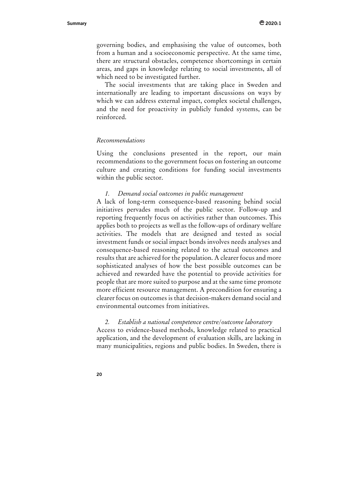governing bodies, and emphasising the value of outcomes, both from a human and a socioeconomic perspective. At the same time, there are structural obstacles, competence shortcomings in certain areas, and gaps in knowledge relating to social investments, all of which need to be investigated further.

The social investments that are taking place in Sweden and internationally are leading to important discussions on ways by which we can address external impact, complex societal challenges, and the need for proactivity in publicly funded systems, can be reinforced.

### *Recommendations*

Using the conclusions presented in the report, our main recommendations to the government focus on fostering an outcome culture and creating conditions for funding social investments within the public sector.

#### *1. Demand social outcomes in public management*

A lack of long-term consequence-based reasoning behind social initiatives pervades much of the public sector. Follow-up and reporting frequently focus on activities rather than outcomes. This applies both to projects as well as the follow-ups of ordinary welfare activities. The models that are designed and tested as social investment funds or social impact bonds involves needs analyses and consequence-based reasoning related to the actual outcomes and results that are achieved for the population. A clearer focus and more sophisticated analyses of how the best possible outcomes can be achieved and rewarded have the potential to provide activities for people that are more suited to purpose and at the same time promote more efficient resource management. A precondition for ensuring a clearer focus on outcomes is that decision-makers demand social and environmental outcomes from initiatives.

### *2. Establish a national competence centre/outcome laboratory*

Access to evidence-based methods, knowledge related to practical application, and the development of evaluation skills, are lacking in many municipalities, regions and public bodies. In Sweden, there is